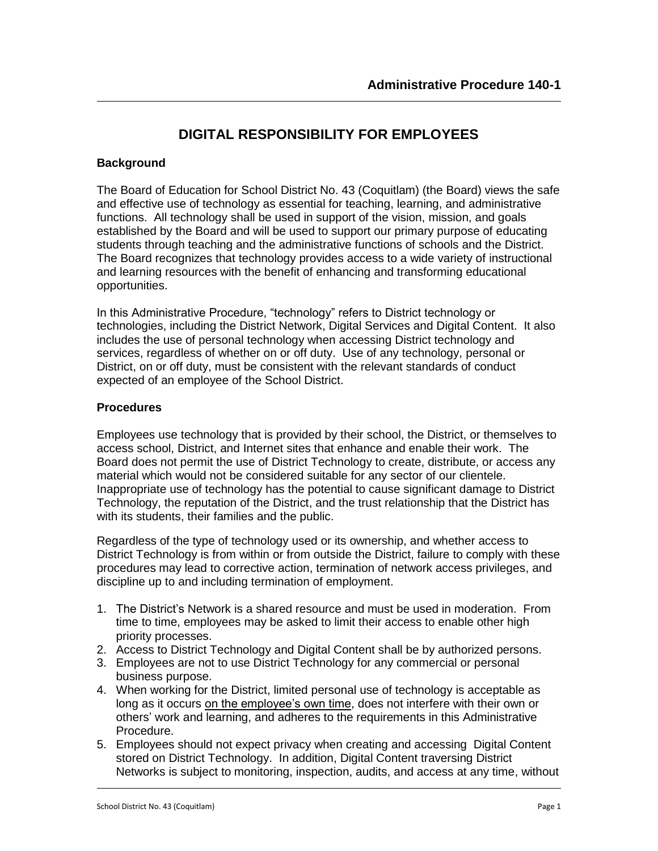# **DIGITAL RESPONSIBILITY FOR EMPLOYEES**

# **Background**

The Board of Education for School District No. 43 (Coquitlam) (the Board) views the safe and effective use of technology as essential for teaching, learning, and administrative functions. All technology shall be used in support of the vision, mission, and goals established by the Board and will be used to support our primary purpose of educating students through teaching and the administrative functions of schools and the District. The Board recognizes that technology provides access to a wide variety of instructional and learning resources with the benefit of enhancing and transforming educational opportunities.

In this Administrative Procedure, "technology" refers to District technology or technologies, including the District Network, Digital Services and Digital Content. It also includes the use of personal technology when accessing District technology and services, regardless of whether on or off duty. Use of any technology, personal or District, on or off duty, must be consistent with the relevant standards of conduct expected of an employee of the School District.

### **Procedures**

Employees use technology that is provided by their school, the District, or themselves to access school, District, and Internet sites that enhance and enable their work. The Board does not permit the use of District Technology to create, distribute, or access any material which would not be considered suitable for any sector of our clientele. Inappropriate use of technology has the potential to cause significant damage to District Technology, the reputation of the District, and the trust relationship that the District has with its students, their families and the public.

Regardless of the type of technology used or its ownership, and whether access to District Technology is from within or from outside the District, failure to comply with these procedures may lead to corrective action, termination of network access privileges, and discipline up to and including termination of employment.

- 1. The District's Network is a shared resource and must be used in moderation. From time to time, employees may be asked to limit their access to enable other high priority processes.
- 2. Access to District Technology and Digital Content shall be by authorized persons.
- 3. Employees are not to use District Technology for any commercial or personal business purpose.
- 4. When working for the District, limited personal use of technology is acceptable as long as it occurs on the employee's own time, does not interfere with their own or others' work and learning, and adheres to the requirements in this Administrative Procedure.
- 5. Employees should not expect privacy when creating and accessing Digital Content stored on District Technology. In addition, Digital Content traversing District Networks is subject to monitoring, inspection, audits, and access at any time, without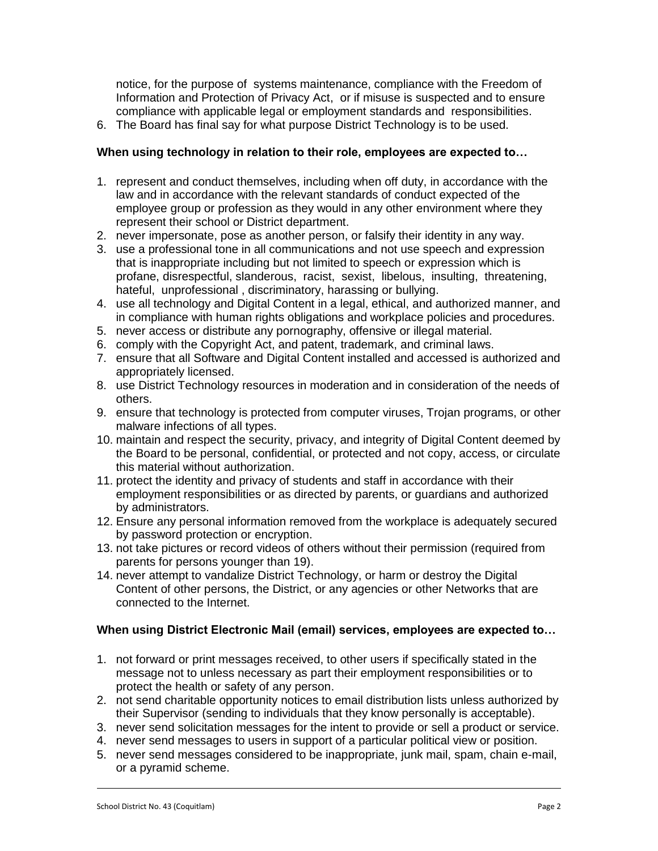notice, for the purpose of systems maintenance, compliance with the Freedom of Information and Protection of Privacy Act, or if misuse is suspected and to ensure compliance with applicable legal or employment standards and responsibilities.

6. The Board has final say for what purpose District Technology is to be used.

# **When using technology in relation to their role, employees are expected to…**

- 1. represent and conduct themselves, including when off duty, in accordance with the law and in accordance with the relevant standards of conduct expected of the employee group or profession as they would in any other environment where they represent their school or District department.
- 2. never impersonate, pose as another person, or falsify their identity in any way.
- 3. use a professional tone in all communications and not use speech and expression that is inappropriate including but not limited to speech or expression which is profane, disrespectful, slanderous, racist, sexist, libelous, insulting, threatening, hateful, unprofessional , discriminatory, harassing or bullying.
- 4. use all technology and Digital Content in a legal, ethical, and authorized manner, and in compliance with human rights obligations and workplace policies and procedures.
- 5. never access or distribute any pornography, offensive or illegal material.
- 6. comply with the Copyright Act, and patent, trademark, and criminal laws.
- 7. ensure that all Software and Digital Content installed and accessed is authorized and appropriately licensed.
- 8. use District Technology resources in moderation and in consideration of the needs of others.
- 9. ensure that technology is protected from computer viruses, Trojan programs, or other malware infections of all types.
- 10. maintain and respect the security, privacy, and integrity of Digital Content deemed by the Board to be personal, confidential, or protected and not copy, access, or circulate this material without authorization.
- 11. protect the identity and privacy of students and staff in accordance with their employment responsibilities or as directed by parents, or guardians and authorized by administrators.
- 12. Ensure any personal information removed from the workplace is adequately secured by password protection or encryption.
- 13. not take pictures or record videos of others without their permission (required from parents for persons younger than 19).
- 14. never attempt to vandalize District Technology, or harm or destroy the Digital Content of other persons, the District, or any agencies or other Networks that are connected to the Internet.

# **When using District Electronic Mail (email) services, employees are expected to…**

- 1. not forward or print messages received, to other users if specifically stated in the message not to unless necessary as part their employment responsibilities or to protect the health or safety of any person.
- 2. not send charitable opportunity notices to email distribution lists unless authorized by their Supervisor (sending to individuals that they know personally is acceptable).
- 3. never send solicitation messages for the intent to provide or sell a product or service.
- 4. never send messages to users in support of a particular political view or position.
- 5. never send messages considered to be inappropriate, junk mail, spam, chain e-mail, or a pyramid scheme.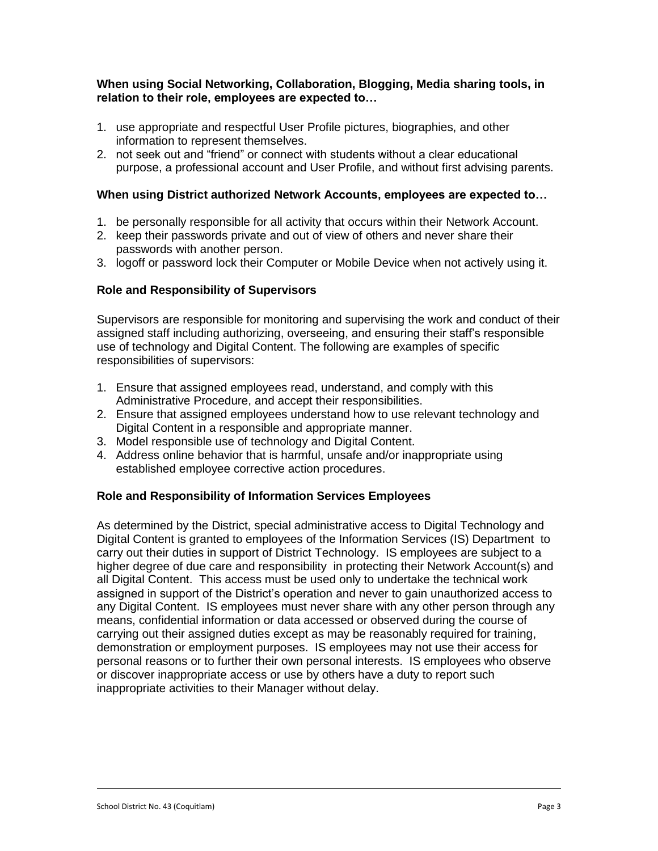### **When using Social Networking, Collaboration, Blogging, Media sharing tools, in relation to their role, employees are expected to…**

- 1. use appropriate and respectful User Profile pictures, biographies, and other information to represent themselves.
- 2. not seek out and "friend" or connect with students without a clear educational purpose, a professional account and User Profile, and without first advising parents.

## **When using District authorized Network Accounts, employees are expected to…**

- 1. be personally responsible for all activity that occurs within their Network Account.
- 2. keep their passwords private and out of view of others and never share their passwords with another person.
- 3. logoff or password lock their Computer or Mobile Device when not actively using it.

### **Role and Responsibility of Supervisors**

Supervisors are responsible for monitoring and supervising the work and conduct of their assigned staff including authorizing, overseeing, and ensuring their staff's responsible use of technology and Digital Content. The following are examples of specific responsibilities of supervisors:

- 1. Ensure that assigned employees read, understand, and comply with this Administrative Procedure, and accept their responsibilities.
- 2. Ensure that assigned employees understand how to use relevant technology and Digital Content in a responsible and appropriate manner.
- 3. Model responsible use of technology and Digital Content.
- 4. Address online behavior that is harmful, unsafe and/or inappropriate using established employee corrective action procedures.

#### **Role and Responsibility of Information Services Employees**

As determined by the District, special administrative access to Digital Technology and Digital Content is granted to employees of the Information Services (IS) Department to carry out their duties in support of District Technology. IS employees are subject to a higher degree of due care and responsibility in protecting their Network Account(s) and all Digital Content. This access must be used only to undertake the technical work assigned in support of the District's operation and never to gain unauthorized access to any Digital Content. IS employees must never share with any other person through any means, confidential information or data accessed or observed during the course of carrying out their assigned duties except as may be reasonably required for training, demonstration or employment purposes. IS employees may not use their access for personal reasons or to further their own personal interests. IS employees who observe or discover inappropriate access or use by others have a duty to report such inappropriate activities to their Manager without delay.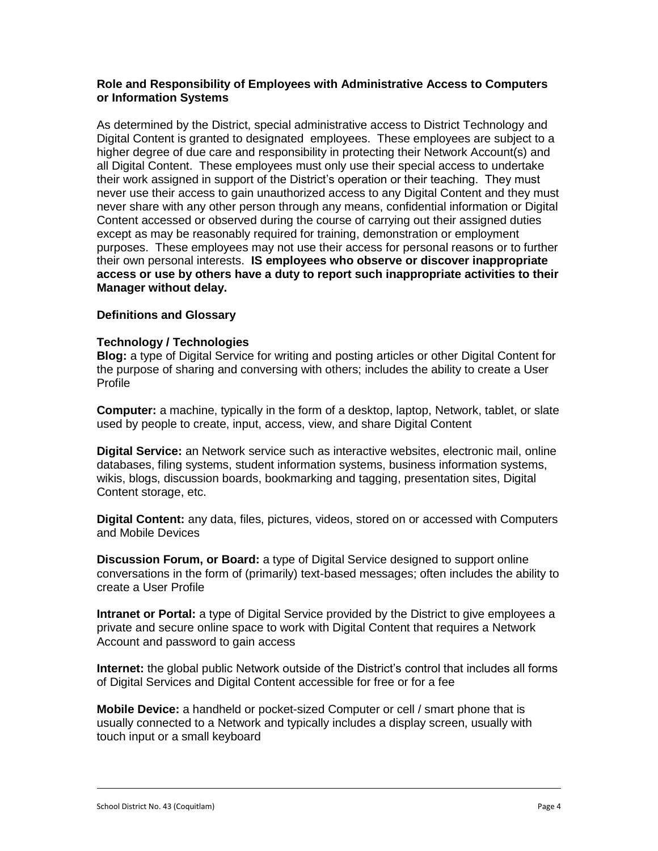### **Role and Responsibility of Employees with Administrative Access to Computers or Information Systems**

As determined by the District, special administrative access to District Technology and Digital Content is granted to designated employees. These employees are subject to a higher degree of due care and responsibility in protecting their Network Account(s) and all Digital Content. These employees must only use their special access to undertake their work assigned in support of the District's operation or their teaching. They must never use their access to gain unauthorized access to any Digital Content and they must never share with any other person through any means, confidential information or Digital Content accessed or observed during the course of carrying out their assigned duties except as may be reasonably required for training, demonstration or employment purposes. These employees may not use their access for personal reasons or to further their own personal interests. **IS employees who observe or discover inappropriate access or use by others have a duty to report such inappropriate activities to their Manager without delay.**

# **Definitions and Glossary**

### **Technology / Technologies**

**Blog:** a type of Digital Service for writing and posting articles or other Digital Content for the purpose of sharing and conversing with others; includes the ability to create a User Profile

**Computer:** a machine, typically in the form of a desktop, laptop, Network, tablet, or slate used by people to create, input, access, view, and share Digital Content

**Digital Service:** an Network service such as interactive websites, electronic mail, online databases, filing systems, student information systems, business information systems, wikis, blogs, discussion boards, bookmarking and tagging, presentation sites, Digital Content storage, etc.

**Digital Content:** any data, files, pictures, videos, stored on or accessed with Computers and Mobile Devices

**Discussion Forum, or Board:** a type of Digital Service designed to support online conversations in the form of (primarily) text-based messages; often includes the ability to create a User Profile

**Intranet or Portal:** a type of Digital Service provided by the District to give employees a private and secure online space to work with Digital Content that requires a Network Account and password to gain access

**Internet:** the global public Network outside of the District's control that includes all forms of Digital Services and Digital Content accessible for free or for a fee

**Mobile Device:** a handheld or pocket-sized Computer or cell / smart phone that is usually connected to a Network and typically includes a display screen, usually with touch input or a small keyboard